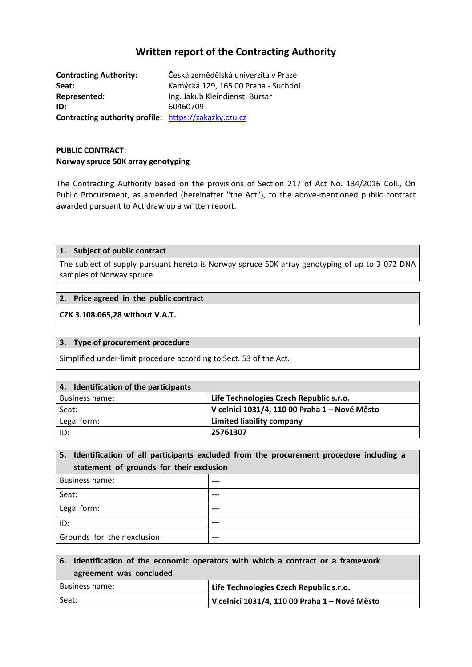# **Written report of the Contracting Authority**

**Contracting Authority:** Česká zemědělská univerzita v Praze **Seat:** Kamýcká 129, 165 00 Praha - Suchdol **Represented:** Ing. Jakub Kleindienst, Bursar **ID:** 60460709 **Contracting authority profile:** [https://zakazky.czu.cz](https://zakazky.czu.cz/)

### **PUBLIC CONTRACT: Norway spruce 50K array genotyping**

The Contracting Authority based on the provisions of Section 217 of Act No. 134/2016 Coll., On Public Procurement, as amended (hereinafter "the Act"), to the above-mentioned public contract awarded pursuant to Act draw up a written report.

#### **1. Subject of public contract**

The subject of supply pursuant hereto is Norway spruce 50K array genotyping of up to 3 072 DNA samples of Norway spruce.

#### **2. Price agreed in the public contract**

**CZK 3.108.065,28 without V.A.T.**

### **3. Type of procurement procedure**

Simplified under-limit procedure according to Sect. 53 of the Act.

| <sup>4.</sup><br>Identification of the participants |                                               |
|-----------------------------------------------------|-----------------------------------------------|
| Business name:                                      | Life Technologies Czech Republic s.r.o.       |
| Seat:                                               | V celnici 1031/4, 110 00 Praha 1 – Nové Město |
| Legal form:                                         | <b>Limited liability company</b>              |
| ID:                                                 | 25761307                                      |

|                                          | 5. Identification of all participants excluded from the procurement procedure including a |  |
|------------------------------------------|-------------------------------------------------------------------------------------------|--|
| statement of grounds for their exclusion |                                                                                           |  |
| <b>Business name:</b>                    |                                                                                           |  |
| Seat:                                    |                                                                                           |  |
| Legal form:                              |                                                                                           |  |
| ID:                                      | ---                                                                                       |  |
| Grounds for their exclusion:             | ---                                                                                       |  |

| 6. Identification of the economic operators with which a contract or a framework |                                               |  |
|----------------------------------------------------------------------------------|-----------------------------------------------|--|
| agreement was concluded                                                          |                                               |  |
| Business name:                                                                   | Life Technologies Czech Republic s.r.o.       |  |
| Seat:                                                                            | V celnici 1031/4, 110 00 Praha 1 - Nové Město |  |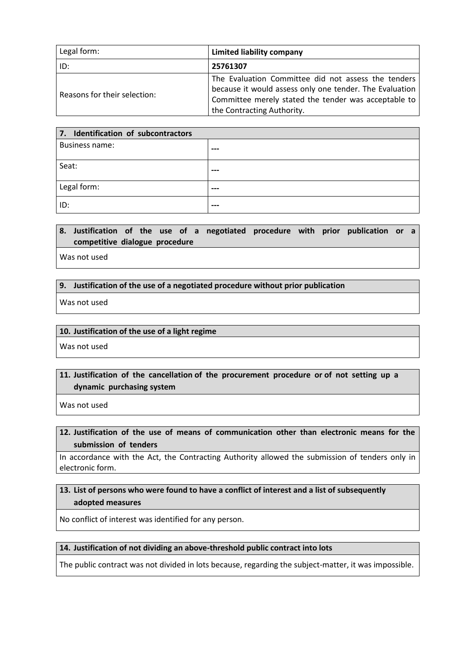| Legal form:                  | <b>Limited liability company</b>                                                                                                                                                                     |
|------------------------------|------------------------------------------------------------------------------------------------------------------------------------------------------------------------------------------------------|
| ID:                          | 25761307                                                                                                                                                                                             |
| Reasons for their selection: | The Evaluation Committee did not assess the tenders<br>because it would assess only one tender. The Evaluation<br>Committee merely stated the tender was acceptable to<br>the Contracting Authority. |

| 7. Identification of subcontractors |       |
|-------------------------------------|-------|
| <b>Business name:</b>               | ---   |
| Seat:                               | $---$ |
| Legal form:                         | $---$ |
| ID:                                 | ---   |

### **8. Justification of the use of a negotiated procedure with prior publication or a competitive dialogue procedure**

Was not used

#### **9. Justification of the use of a negotiated procedure without prior publication**

Was not used

#### **10. Justification of the use of a light regime**

Was not used

### **11. Justification of the cancellation of the procurement procedure or of not setting up a dynamic purchasing system**

Was not used

### **12. Justification of the use of means of communication other than electronic means for the submission of tenders**

In accordance with the Act, the Contracting Authority allowed the submission of tenders only in electronic form.

### **13. List of persons who were found to have a conflict of interest and a list of subsequently adopted measures**

No conflict of interest was identified for any person.

#### **14. Justification of not dividing an above-threshold public contract into lots**

The public contract was not divided in lots because, regarding the subject-matter, it was impossible.